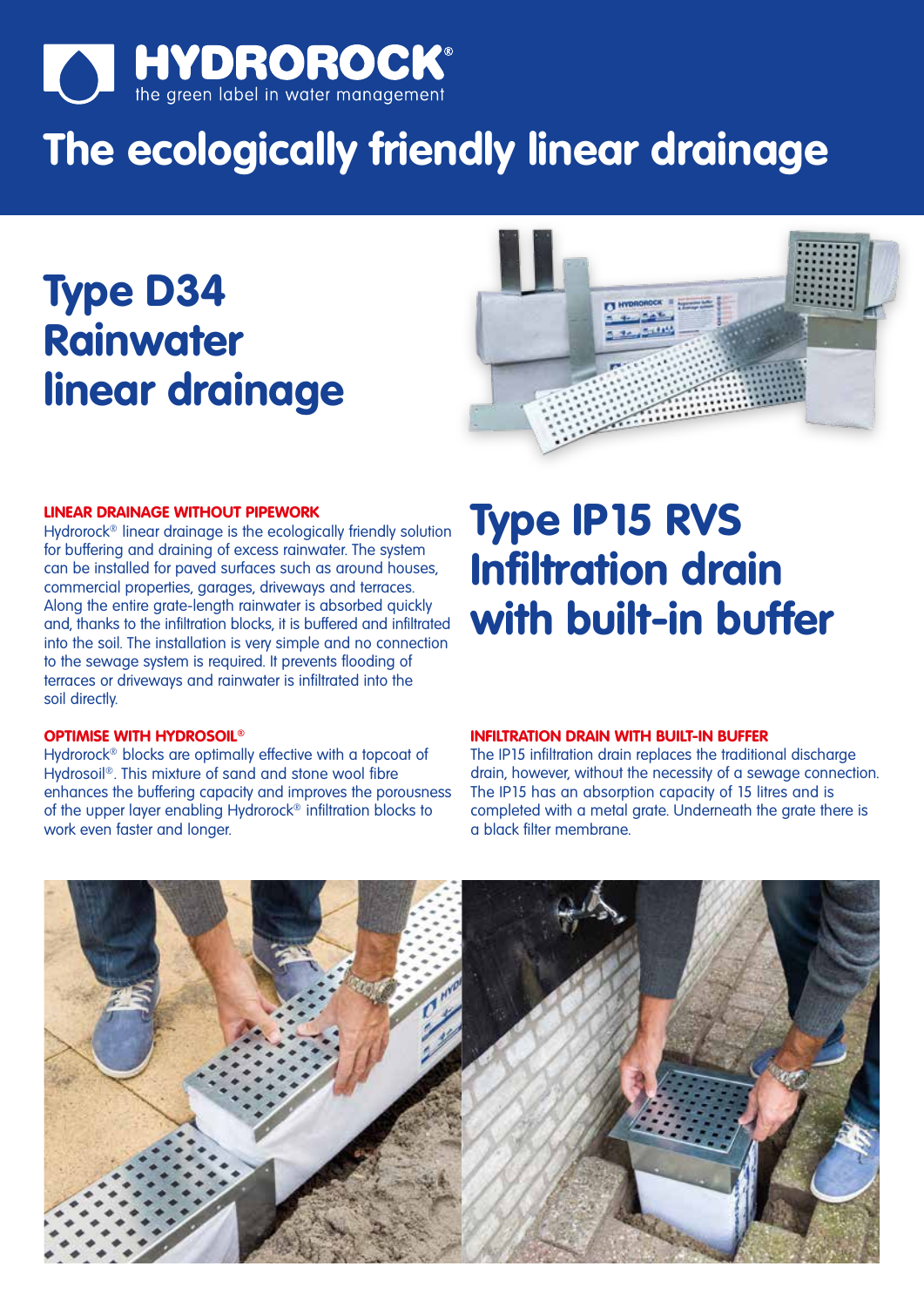

# **The ecologically friendly linear drainage**

## **Type D34 Rainwater linear drainage**



#### **LINEAR DRAINAGE WITHOUT PIPEWORK**

Hydrorock® linear drainage is the ecologically friendly solution for buffering and draining of excess rainwater. The system can be installed for paved surfaces such as around houses, commercial properties, garages, driveways and terraces. Along the entire grate-length rainwater is absorbed quickly and, thanks to the infiltration blocks, it is buffered and infiltrated into the soil. The installation is very simple and no connection to the sewage system is required. It prevents flooding of terraces or driveways and rainwater is infiltrated into the soil directly.

#### **OPTIMISE WITH HYDROSOIL®**

Hydrorock® blocks are optimally effective with a topcoat of Hydrosoil<sup>®</sup>. This mixture of sand and stone wool fibre enhances the buffering capacity and improves the porousness of the upper layer enabling Hydrorock® infiltration blocks to work even faster and longer.

### **Type IP15 RVS Infiltration drain with built-in buffer**

#### **INFILTRATION DRAIN WITH BUILT-IN BUFFER**

The IP15 infiltration drain replaces the traditional discharge drain, however, without the necessity of a sewage connection. The IP15 has an absorption capacity of 15 litres and is completed with a metal grate. Underneath the grate there is a black filter membrane.